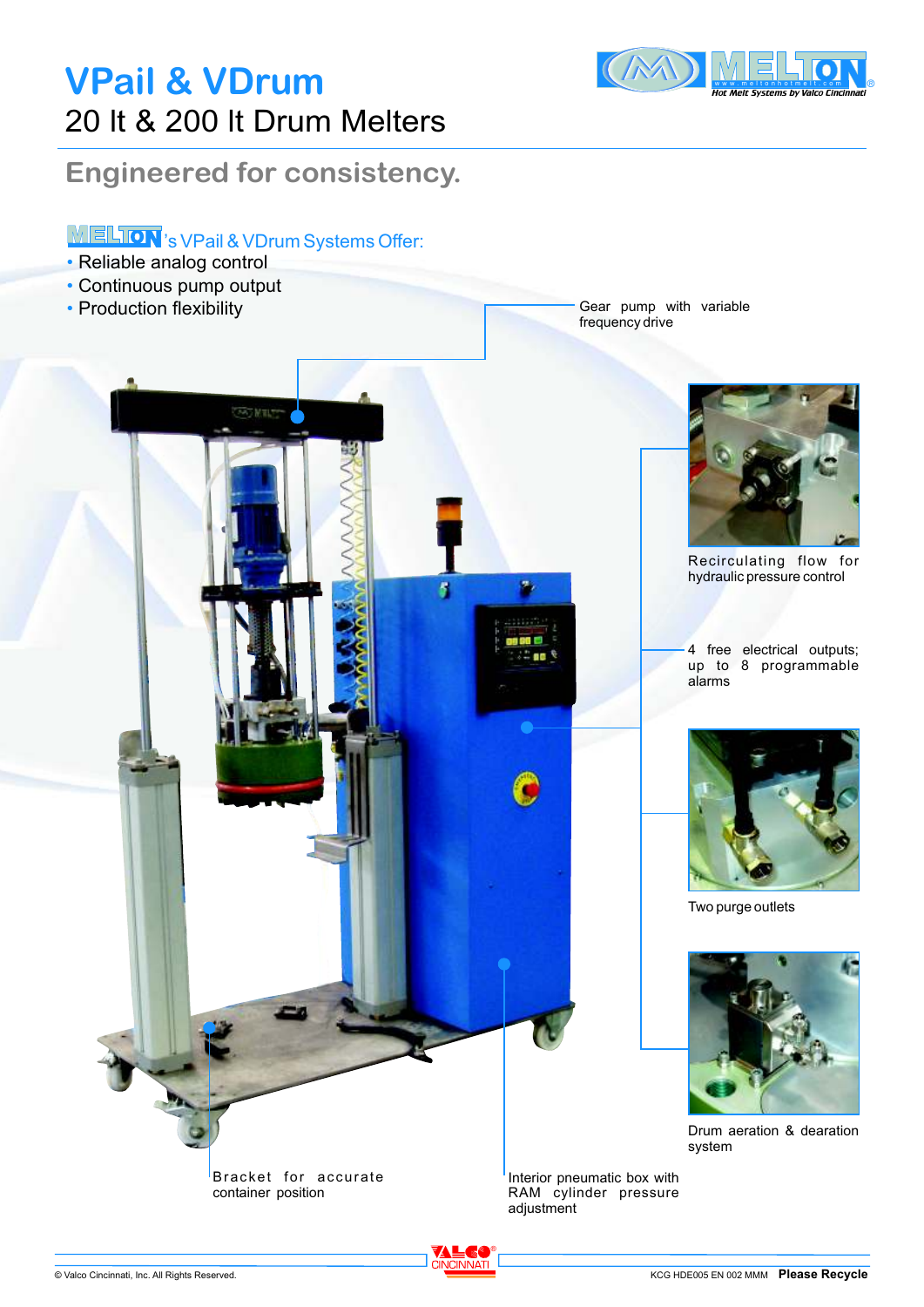# **VPail & VDrum**  20 lt & 200 lt Drum Melters



### **Engineered for consistency.**

#### **MELION**'s VPail & VDrum Systems Offer:

- Reliable analog control
- Continuous pump output •
- Production flexibility

Gear pump with variable frequency drive



Recirculating flow for hydraulic pressure control

4 free electrical outputs; up to 8 programmable alarms



Two purge outlets



Drum aeration & dearation system

Interior pneumatic box with RAM cylinder pressure adjustment

®